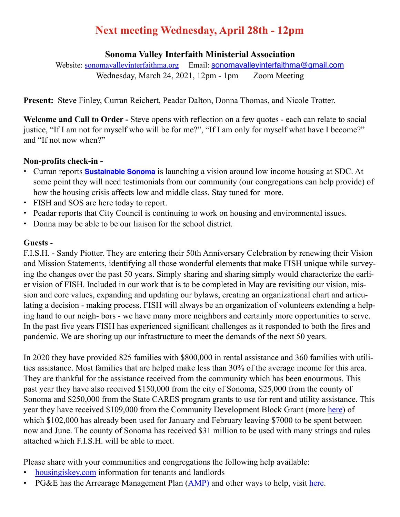# **Next meeting Wednesday, April 28th - 12pm**

## **Sonoma Valley Interfaith Ministerial Association**

Website: [sonomavalleyinterfaithma.org](http://sonomavalleyinterfaithma.org) Email: [sonomavalleyinterfaithma@gmail.com](mailto:sonomavalleyinterfaithma@gmail.com) Wednesday, March 24, 2021, 12pm - 1pm Zoom Meeting

**Present:** Steve Finley, Curran Reichert, Peadar Dalton, Donna Thomas, and Nicole Trotter.

**Welcome and Call to Order -** Steve opens with reflection on a few quotes - each can relate to social justice, "If I am not for myself who will be for me?", "If I am only for myself what have I become?" and "If not now when?"

## **Non-profits check-in -**

- **•** Curran reports **[Sustainable Sonoma](https://www.sustainablesonoma.net/)** is launching a vision around low income housing at SDC. At some point they will need testimonials from our community (our congregations can help provide) of how the housing crisis affects low and middle class. Stay tuned for more.
- **•** FISH and SOS are here today to report.
- **•** Peadar reports that City Council is continuing to work on housing and environmental issues.
- **•** Donna may be able to be our liaison for the school district.

# **Guests** -

F.I.S.H. - Sandy Piotter. They are entering their 50th Anniversary Celebration by renewing their Vision and Mission Statements, identifying all those wonderful elements that make FISH unique while surveying the changes over the past 50 years. Simply sharing and sharing simply would characterize the earlier vision of FISH. Included in our work that is to be completed in May are revisiting our vision, mission and core values, expanding and updating our bylaws, creating an organizational chart and articulating a decision - making process. FISH will always be an organization of volunteers extending a helping hand to our neigh- bors - we have many more neighbors and certainly more opportunities to serve. In the past five years FISH has experienced significant challenges as it responded to both the fires and pandemic. We are shoring up our infrastructure to meet the demands of the next 50 years.

In 2020 they have provided 825 families with \$800,000 in rental assistance and 360 families with utilities assistance. Most families that are helped make less than 30% of the average income for this area. They are thankful for the assistance received from the community which has been enourmous. This past year they have also received \$150,000 from the city of Sonoma, \$25,000 from the county of Sonoma and \$250,000 from the State CARES program grants to use for rent and utility assistance. This year they have received \$109,000 from the Community Development Block Grant (more [here](https://sonomacounty.ca.gov/CDC/Housing-and-Neighborhood-Investment/Funding-Opportunities/CDBG/)) of which \$102,000 has already been used for January and February leaving \$7000 to be spent between now and June. The county of Sonoma has received \$31 million to be used with many strings and rules attached which F.I.S.H. will be able to meet.

Please share with your communities and congregations the following help available:

- [housingiskey.com](http://housingiskey.com) information for tenants and landlords
- PG&E has the Arrearage Management Plan ([AMP\)](https://pgesupport.zendesk.com/hc/en-us/articles/360054813931-What-is-the-Arrearage-Management-Plan-AMP-) and other ways to help, visit [here.](https://www.pge.com/en_US/residential/save-energy-money/help-paying-your-bill/payment-assistance-overview/payment-assistance-overview.page?WT.mc_id=Vanity_amp)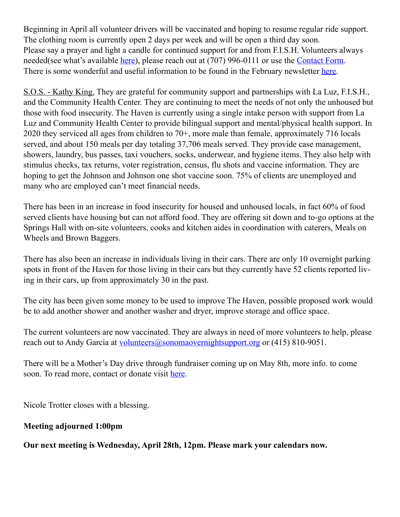Beginning in April all volunteer drivers will be vaccinated and hoping to resume regular ride support. The clothing room is currently open 2 days per week and will be open a third day soon. Please say a prayer and light a candle for continued support for and from F.I.S.H. Volunteers always needed(see what's available [here\)](https://www.friendsinsonomahelping.org/volunteer.html), please reach out at (707) 996-0111 or use the [Contact Form](https://www.friendsinsonomahelping.org/contact.html). There is some wonderful and useful information to be found in the February newsletter [here.](https://www.friendsinsonomahelping.org/home/fish2/Feb2021NewsPDF.pdf)

S.O.S. - Kathy King. They are grateful for community support and partnerships with La Luz, F.I.S.H., and the Community Health Center. They are continuing to meet the needs of not only the unhoused but those with food insecurity. The Haven is currently using a single intake person with support from La Luz and Community Health Center to provide bilingual support and mental/physical health support. In 2020 they serviced all ages from children to 70+, more male than female, approximately 716 locals served, and about 150 meals per day totaling 37,706 meals served. They provide case management, showers, laundry, bus passes, taxi vouchers, socks, underwear, and hygiene items. They also help with stimulus checks, tax returns, voter registration, census, flu shots and vaccine information. They are hoping to get the Johnson and Johnson one shot vaccine soon. 75% of clients are unemployed and many who are employed can't meet financial needs.

There has been in an increase in food insecurity for housed and unhoused locals, in fact 60% of food served clients have housing but can not afford food. They are offering sit down and to-go options at the Springs Hall with on-site volunteers, cooks and kitchen aides in coordination with caterers, Meals on Wheels and Brown Baggers.

There has also been an increase in individuals living in their cars. There are only 10 overnight parking spots in front of the Haven for those living in their cars but they currently have 52 clients reported living in their cars, up from approximately 30 in the past.

The city has been given some money to be used to improve The Haven, possible proposed work would be to add another shower and another washer and dryer, improve storage and office space.

The current volunteers are now vaccinated. They are always in need of more volunteers to help, please reach out to Andy Garcia at [volunteers@sonomaovernightsupport.org](mailto:volunteers@sonomaovernightsupport.org) or (415) 810-9051.

There will be a Mother's Day drive through fundraiser coming up on May 8th, more info. to come soon. To read more, contact or donate visit [here](https://www.sonomaovernightsupport.org).

Nicole Trotter closes with a blessing.

## **Meeting adjourned 1:00pm**

**Our next meeting is Wednesday, April 28th, 12pm. Please mark your calendars now.**